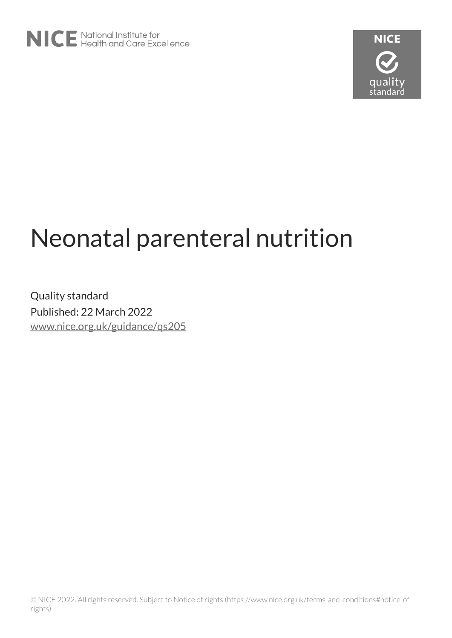

# Neonatal parenteral nutrition

Quality standard Published: 22 March 2022 [www.nice.org.uk/guidance/qs205](https://www.nice.org.uk/guidance/qs205)

© NICE 2022. All rights reserved. Subject to Notice of rights (https://www.nice.org.uk/terms-and-conditions#notice-ofrights).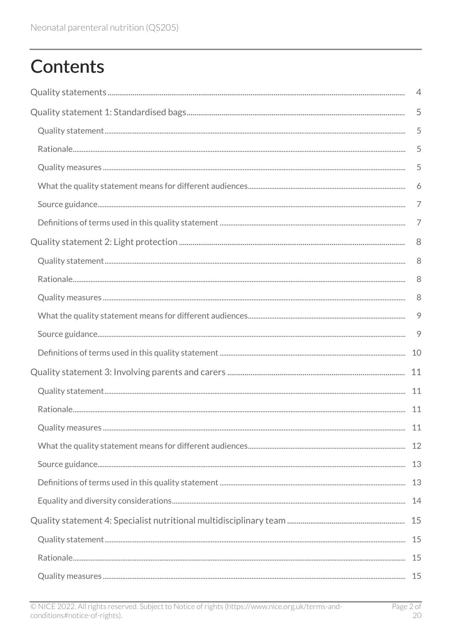# **Contents**

|  | 4  |
|--|----|
|  | 5  |
|  | 5  |
|  | 5  |
|  | 5  |
|  | 6  |
|  | 7  |
|  | 7  |
|  |    |
|  | 8  |
|  | 8  |
|  | 8  |
|  | 9  |
|  | 9  |
|  | 10 |
|  | 11 |
|  |    |
|  |    |
|  |    |
|  |    |
|  |    |
|  |    |
|  |    |
|  |    |
|  |    |
|  |    |
|  |    |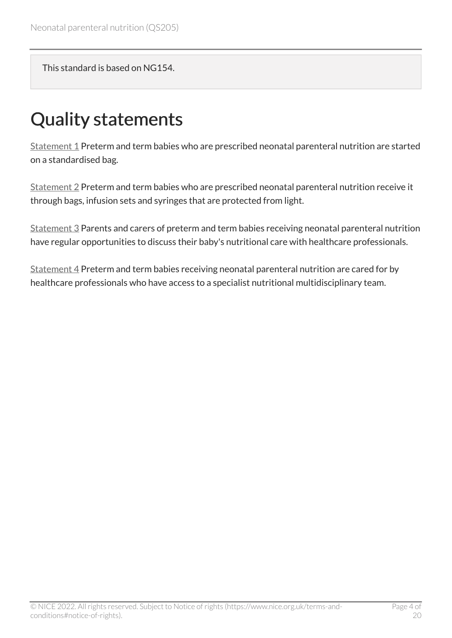This standard is based on NG154.

# <span id="page-3-0"></span>Quality statements

[Statement 1](#page-4-0) Preterm and term babies who are prescribed neonatal parenteral nutrition are started on a standardised bag.

[Statement 2](#page-7-0) Preterm and term babies who are prescribed neonatal parenteral nutrition receive it through bags, infusion sets and syringes that are protected from light.

[Statement 3](#page-10-0) Parents and carers of preterm and term babies receiving neonatal parenteral nutrition have regular opportunities to discuss their baby's nutritional care with healthcare professionals.

[Statement 4](#page-14-0) Preterm and term babies receiving neonatal parenteral nutrition are cared for by healthcare professionals who have access to a specialist nutritional multidisciplinary team.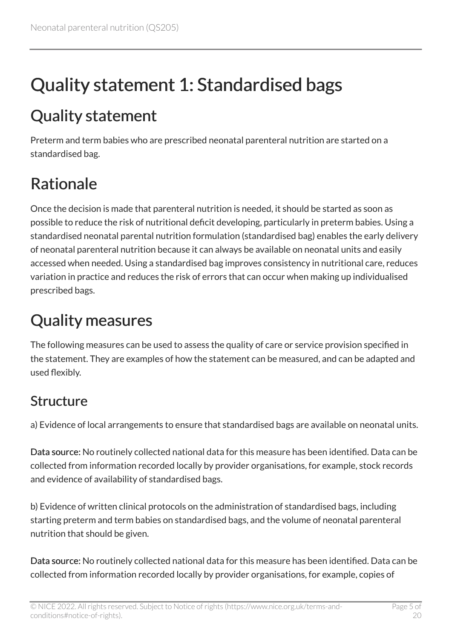# <span id="page-4-0"></span>Quality statement 1: Standardised bags

## <span id="page-4-1"></span>Quality statement

Preterm and term babies who are prescribed neonatal parenteral nutrition are started on a standardised bag.

# <span id="page-4-2"></span>Rationale

Once the decision is made that parenteral nutrition is needed, it should be started as soon as possible to reduce the risk of nutritional deficit developing, particularly in preterm babies. Using a standardised neonatal parental nutrition formulation (standardised bag) enables the early delivery of neonatal parenteral nutrition because it can always be available on neonatal units and easily accessed when needed. Using a standardised bag improves consistency in nutritional care, reduces variation in practice and reduces the risk of errors that can occur when making up individualised prescribed bags.

# <span id="page-4-3"></span>Quality measures

The following measures can be used to assess the quality of care or service provision specified in the statement. They are examples of how the statement can be measured, and can be adapted and used flexibly.

#### Structure

a) Evidence of local arrangements to ensure that standardised bags are available on neonatal units.

Data source: No routinely collected national data for this measure has been identified. Data can be collected from information recorded locally by provider organisations, for example, stock records and evidence of availability of standardised bags.

b) Evidence of written clinical protocols on the administration of standardised bags, including starting preterm and term babies on standardised bags, and the volume of neonatal parenteral nutrition that should be given.

Data source: No routinely collected national data for this measure has been identified. Data can be collected from information recorded locally by provider organisations, for example, copies of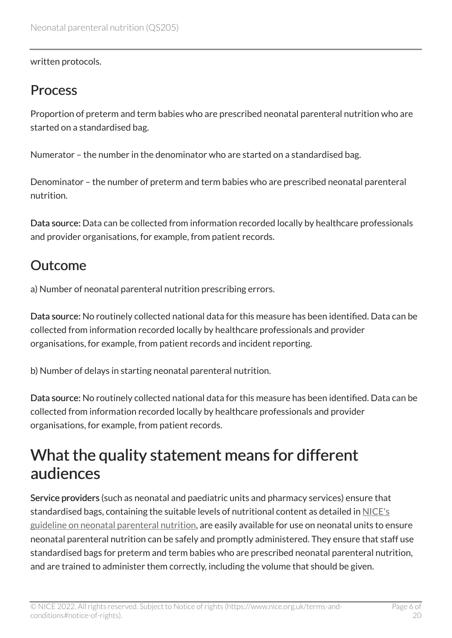written protocols.

#### **Process**

Proportion of preterm and term babies who are prescribed neonatal parenteral nutrition who are started on a standardised bag.

Numerator – the number in the denominator who are started on a standardised bag.

Denominator – the number of preterm and term babies who are prescribed neonatal parenteral nutrition.

Data source: Data can be collected from information recorded locally by healthcare professionals and provider organisations, for example, from patient records.

#### **Outcome**

a) Number of neonatal parenteral nutrition prescribing errors.

Data source: No routinely collected national data for this measure has been identified. Data can be collected from information recorded locally by healthcare professionals and provider organisations, for example, from patient records and incident reporting.

b) Number of delays in starting neonatal parenteral nutrition.

Data source: No routinely collected national data for this measure has been identified. Data can be collected from information recorded locally by healthcare professionals and provider organisations, for example, from patient records.

#### <span id="page-5-0"></span>What the quality statement means for different audiences

Service providers (such as neonatal and paediatric units and pharmacy services) ensure that standardised bags, containing the suitable levels of nutritional content as detailed in [NICE's](https://www.nice.org.uk/guidance/ng154) [guideline on neonatal parenteral nutrition](https://www.nice.org.uk/guidance/ng154), are easily available for use on neonatal units to ensure neonatal parenteral nutrition can be safely and promptly administered. They ensure that staff use standardised bags for preterm and term babies who are prescribed neonatal parenteral nutrition, and are trained to administer them correctly, including the volume that should be given.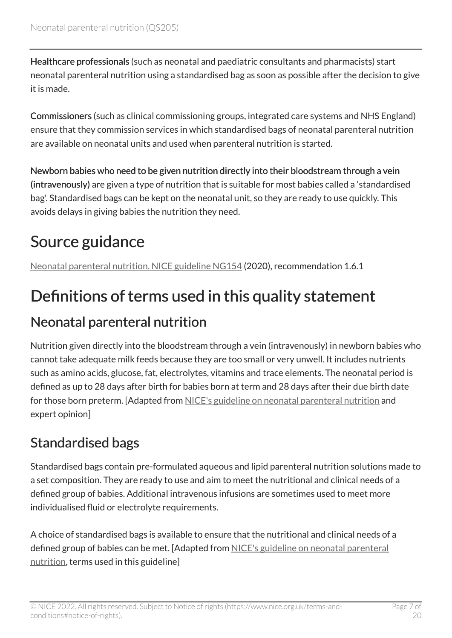Healthcare professionals (such as neonatal and paediatric consultants and pharmacists) start neonatal parenteral nutrition using a standardised bag as soon as possible after the decision to give it is made.

Commissioners (such as clinical commissioning groups, integrated care systems and NHS England) ensure that they commission services in which standardised bags of neonatal parenteral nutrition are available on neonatal units and used when parenteral nutrition is started.

Newborn babies who need to be given nutrition directly into their bloodstream through a vein (intravenously) are given a type of nutrition that is suitable for most babies called a 'standardised bag'. Standardised bags can be kept on the neonatal unit, so they are ready to use quickly. This avoids delays in giving babies the nutrition they need.

## <span id="page-6-0"></span>Source guidance

[Neonatal parenteral nutrition. NICE guideline NG154](https://www.nice.org.uk/guidance/ng154) (2020), recommendation 1.6.1

## <span id="page-6-1"></span>Definitions of terms used in this quality statement

#### Neonatal parenteral nutrition

Nutrition given directly into the bloodstream through a vein (intravenously) in newborn babies who cannot take adequate milk feeds because they are too small or very unwell. It includes nutrients such as amino acids, glucose, fat, electrolytes, vitamins and trace elements. The neonatal period is defined as up to 28 days after birth for babies born at term and 28 days after their due birth date for those born preterm. [Adapted from [NICE's guideline on neonatal parenteral nutrition](https://www.nice.org.uk/guidance/ng154) and expert opinion]

#### Standardised bags

Standardised bags contain pre-formulated aqueous and lipid parenteral nutrition solutions made to a set composition. They are ready to use and aim to meet the nutritional and clinical needs of a defined group of babies. Additional intravenous infusions are sometimes used to meet more individualised fluid or electrolyte requirements.

A choice of standardised bags is available to ensure that the nutritional and clinical needs of a defined group of babies can be met. [Adapted from [NICE's guideline on neonatal parenteral](https://www.nice.org.uk/guidance/ng154) [nutrition,](https://www.nice.org.uk/guidance/ng154) terms used in this guideline]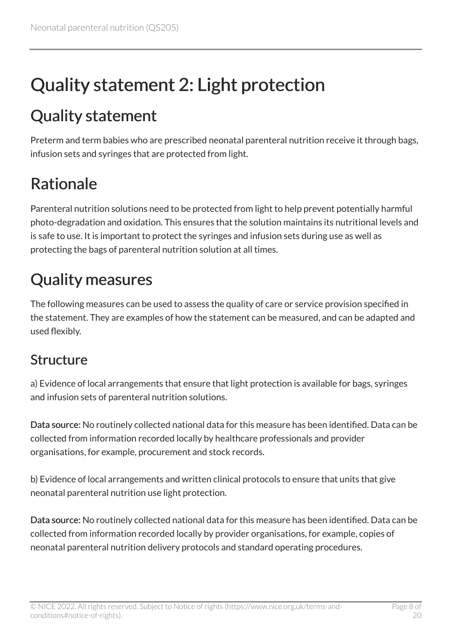# <span id="page-7-0"></span>Quality statement 2: Light protection

## <span id="page-7-1"></span>Quality statement

Preterm and term babies who are prescribed neonatal parenteral nutrition receive it through bags, infusion sets and syringes that are protected from light.

## <span id="page-7-2"></span>Rationale

Parenteral nutrition solutions need to be protected from light to help prevent potentially harmful photo-degradation and oxidation. This ensures that the solution maintains its nutritional levels and is safe to use. It is important to protect the syringes and infusion sets during use as well as protecting the bags of parenteral nutrition solution at all times.

## <span id="page-7-3"></span>Quality measures

The following measures can be used to assess the quality of care or service provision specified in the statement. They are examples of how the statement can be measured, and can be adapted and used flexibly.

#### **Structure**

a) Evidence of local arrangements that ensure that light protection is available for bags, syringes and infusion sets of parenteral nutrition solutions.

Data source: No routinely collected national data for this measure has been identified. Data can be collected from information recorded locally by healthcare professionals and provider organisations, for example, procurement and stock records.

b) Evidence of local arrangements and written clinical protocols to ensure that units that give neonatal parenteral nutrition use light protection.

Data source: No routinely collected national data for this measure has been identified. Data can be collected from information recorded locally by provider organisations, for example, copies of neonatal parenteral nutrition delivery protocols and standard operating procedures.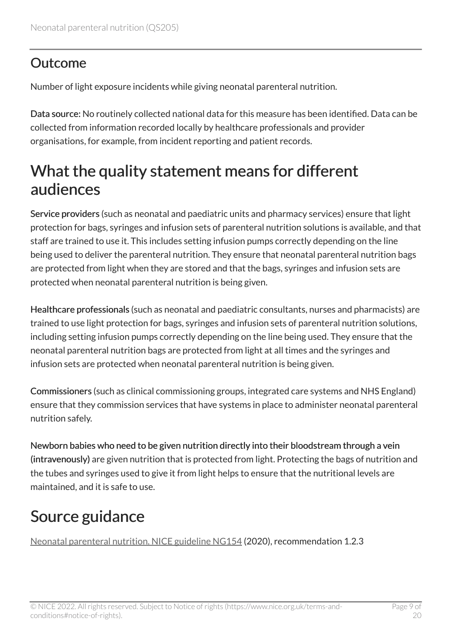#### **Outcome**

Number of light exposure incidents while giving neonatal parenteral nutrition.

Data source: No routinely collected national data for this measure has been identified. Data can be collected from information recorded locally by healthcare professionals and provider organisations, for example, from incident reporting and patient records.

#### <span id="page-8-0"></span>What the quality statement means for different audiences

Service providers (such as neonatal and paediatric units and pharmacy services) ensure that light protection for bags, syringes and infusion sets of parenteral nutrition solutions is available, and that staff are trained to use it. This includes setting infusion pumps correctly depending on the line being used to deliver the parenteral nutrition. They ensure that neonatal parenteral nutrition bags are protected from light when they are stored and that the bags, syringes and infusion sets are protected when neonatal parenteral nutrition is being given.

Healthcare professionals (such as neonatal and paediatric consultants, nurses and pharmacists) are trained to use light protection for bags, syringes and infusion sets of parenteral nutrition solutions, including setting infusion pumps correctly depending on the line being used. They ensure that the neonatal parenteral nutrition bags are protected from light at all times and the syringes and infusion sets are protected when neonatal parenteral nutrition is being given.

Commissioners (such as clinical commissioning groups, integrated care systems and NHS England) ensure that they commission services that have systems in place to administer neonatal parenteral nutrition safely.

Newborn babies who need to be given nutrition directly into their bloodstream through a vein (intravenously) are given nutrition that is protected from light. Protecting the bags of nutrition and the tubes and syringes used to give it from light helps to ensure that the nutritional levels are maintained, and it is safe to use.

## <span id="page-8-1"></span>Source guidance

[Neonatal parenteral nutrition. NICE guideline NG154](https://www.nice.org.uk/guidance/ng154) (2020), recommendation 1.2.3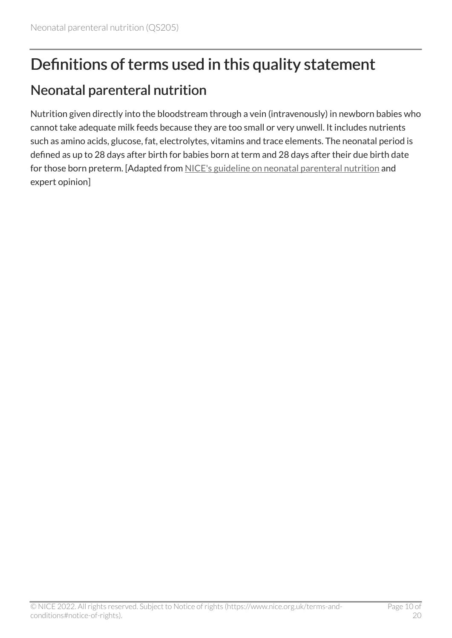## <span id="page-9-0"></span>Definitions of terms used in this quality statement

#### Neonatal parenteral nutrition

Nutrition given directly into the bloodstream through a vein (intravenously) in newborn babies who cannot take adequate milk feeds because they are too small or very unwell. It includes nutrients such as amino acids, glucose, fat, electrolytes, vitamins and trace elements. The neonatal period is defined as up to 28 days after birth for babies born at term and 28 days after their due birth date for those born preterm. [Adapted from [NICE's guideline on neonatal parenteral nutrition](https://www.nice.org.uk/guidance/ng154) and expert opinion]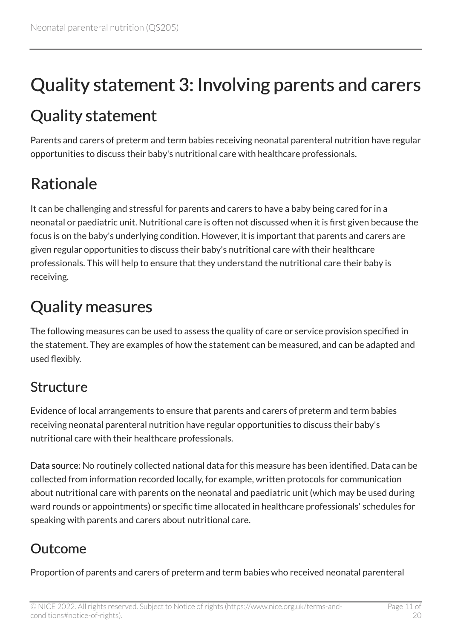# <span id="page-10-0"></span>Quality statement 3: Involving parents and carers

## <span id="page-10-1"></span>Quality statement

Parents and carers of preterm and term babies receiving neonatal parenteral nutrition have regular opportunities to discuss their baby's nutritional care with healthcare professionals.

## <span id="page-10-2"></span>Rationale

It can be challenging and stressful for parents and carers to have a baby being cared for in a neonatal or paediatric unit. Nutritional care is often not discussed when it is first given because the focus is on the baby's underlying condition. However, it is important that parents and carers are given regular opportunities to discuss their baby's nutritional care with their healthcare professionals. This will help to ensure that they understand the nutritional care their baby is receiving.

## <span id="page-10-3"></span>Quality measures

The following measures can be used to assess the quality of care or service provision specified in the statement. They are examples of how the statement can be measured, and can be adapted and used flexibly.

#### **Structure**

Evidence of local arrangements to ensure that parents and carers of preterm and term babies receiving neonatal parenteral nutrition have regular opportunities to discuss their baby's nutritional care with their healthcare professionals.

Data source: No routinely collected national data for this measure has been identified. Data can be collected from information recorded locally, for example, written protocols for communication about nutritional care with parents on the neonatal and paediatric unit (which may be used during ward rounds or appointments) or specific time allocated in healthcare professionals' schedules for speaking with parents and carers about nutritional care.

#### **Outcome**

Proportion of parents and carers of preterm and term babies who received neonatal parenteral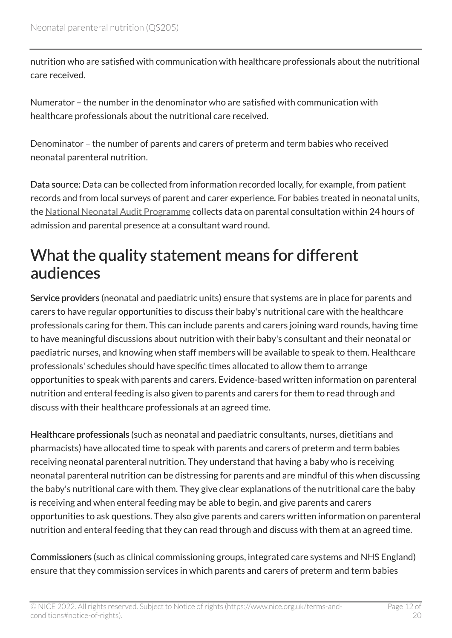nutrition who are satisfied with communication with healthcare professionals about the nutritional care received.

Numerator – the number in the denominator who are satisfied with communication with healthcare professionals about the nutritional care received.

Denominator – the number of parents and carers of preterm and term babies who received neonatal parenteral nutrition.

Data source: Data can be collected from information recorded locally, for example, from patient records and from local surveys of parent and carer experience. For babies treated in neonatal units, the [National Neonatal Audit Programme](https://nnap.rcpch.ac.uk/) collects data on parental consultation within 24 hours of admission and parental presence at a consultant ward round.

#### <span id="page-11-0"></span>What the quality statement means for different audiences

Service providers (neonatal and paediatric units) ensure that systems are in place for parents and carers to have regular opportunities to discuss their baby's nutritional care with the healthcare professionals caring for them. This can include parents and carers joining ward rounds, having time to have meaningful discussions about nutrition with their baby's consultant and their neonatal or paediatric nurses, and knowing when staff members will be available to speak to them. Healthcare professionals' schedules should have specific times allocated to allow them to arrange opportunities to speak with parents and carers. Evidence-based written information on parenteral nutrition and enteral feeding is also given to parents and carers for them to read through and discuss with their healthcare professionals at an agreed time.

Healthcare professionals (such as neonatal and paediatric consultants, nurses, dietitians and pharmacists) have allocated time to speak with parents and carers of preterm and term babies receiving neonatal parenteral nutrition. They understand that having a baby who is receiving neonatal parenteral nutrition can be distressing for parents and are mindful of this when discussing the baby's nutritional care with them. They give clear explanations of the nutritional care the baby is receiving and when enteral feeding may be able to begin, and give parents and carers opportunities to ask questions. They also give parents and carers written information on parenteral nutrition and enteral feeding that they can read through and discuss with them at an agreed time.

Commissioners (such as clinical commissioning groups, integrated care systems and NHS England) ensure that they commission services in which parents and carers of preterm and term babies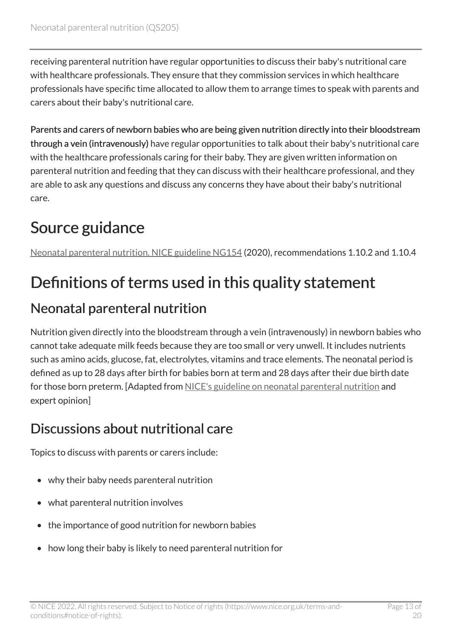receiving parenteral nutrition have regular opportunities to discuss their baby's nutritional care with healthcare professionals. They ensure that they commission services in which healthcare professionals have specific time allocated to allow them to arrange times to speak with parents and carers about their baby's nutritional care.

Parents and carers of newborn babies who are being given nutrition directly into their bloodstream through a vein (intravenously) have regular opportunities to talk about their baby's nutritional care with the healthcare professionals caring for their baby. They are given written information on parenteral nutrition and feeding that they can discuss with their healthcare professional, and they are able to ask any questions and discuss any concerns they have about their baby's nutritional care.

## <span id="page-12-0"></span>Source guidance

[Neonatal parenteral nutrition. NICE guideline NG154](https://www.nice.org.uk/guidance/ng154) (2020), recommendations 1.10.2 and 1.10.4

## <span id="page-12-1"></span>Definitions of terms used in this quality statement

#### Neonatal parenteral nutrition

Nutrition given directly into the bloodstream through a vein (intravenously) in newborn babies who cannot take adequate milk feeds because they are too small or very unwell. It includes nutrients such as amino acids, glucose, fat, electrolytes, vitamins and trace elements. The neonatal period is defined as up to 28 days after birth for babies born at term and 28 days after their due birth date for those born preterm. [Adapted from [NICE's guideline on neonatal parenteral nutrition](https://www.nice.org.uk/guidance/ng154) and expert opinion]

#### Discussions about nutritional care

Topics to discuss with parents or carers include:

- why their baby needs parenteral nutrition
- what parenteral nutrition involves
- the importance of good nutrition for newborn babies
- how long their baby is likely to need parenteral nutrition for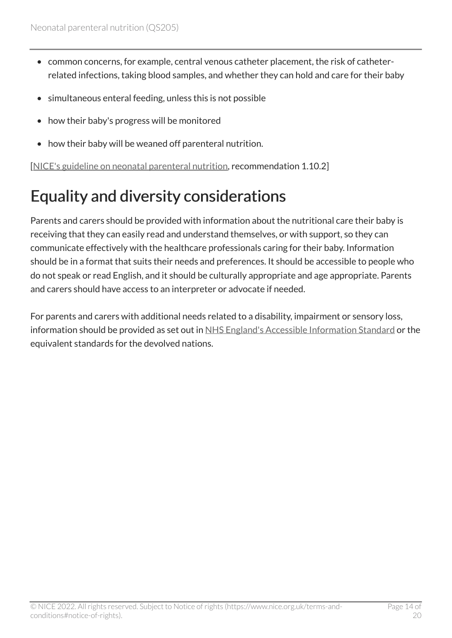- common concerns, for example, central venous catheter placement, the risk of catheterrelated infections, taking blood samples, and whether they can hold and care for their baby
- simultaneous enteral feeding, unless this is not possible
- how their baby's progress will be monitored
- how their baby will be weaned off parenteral nutrition.

[[NICE's guideline on neonatal parenteral nutrition](https://www.nice.org.uk/guidance/ng154), recommendation 1.10.2]

## <span id="page-13-0"></span>Equality and diversity considerations

Parents and carers should be provided with information about the nutritional care their baby is receiving that they can easily read and understand themselves, or with support, so they can communicate effectively with the healthcare professionals caring for their baby. Information should be in a format that suits their needs and preferences. It should be accessible to people who do not speak or read English, and it should be culturally appropriate and age appropriate. Parents and carers should have access to an interpreter or advocate if needed.

For parents and carers with additional needs related to a disability, impairment or sensory loss, information should be provided as set out in [NHS England's Accessible Information Standard](https://www.england.nhs.uk/ourwork/accessibleinfo/) or the equivalent standards for the devolved nations.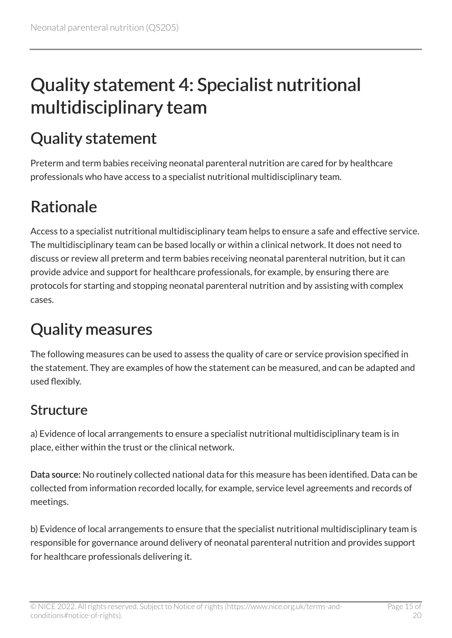# <span id="page-14-0"></span>Quality statement 4: Specialist nutritional multidisciplinary team

## <span id="page-14-1"></span>Quality statement

Preterm and term babies receiving neonatal parenteral nutrition are cared for by healthcare professionals who have access to a specialist nutritional multidisciplinary team.

## <span id="page-14-2"></span>Rationale

Access to a specialist nutritional multidisciplinary team helps to ensure a safe and effective service. The multidisciplinary team can be based locally or within a clinical network. It does not need to discuss or review all preterm and term babies receiving neonatal parenteral nutrition, but it can provide advice and support for healthcare professionals, for example, by ensuring there are protocols for starting and stopping neonatal parenteral nutrition and by assisting with complex cases.

## <span id="page-14-3"></span>Quality measures

The following measures can be used to assess the quality of care or service provision specified in the statement. They are examples of how the statement can be measured, and can be adapted and used flexibly.

#### Structure

a) Evidence of local arrangements to ensure a specialist nutritional multidisciplinary team is in place, either within the trust or the clinical network.

Data source: No routinely collected national data for this measure has been identified. Data can be collected from information recorded locally, for example, service level agreements and records of meetings.

b) Evidence of local arrangements to ensure that the specialist nutritional multidisciplinary team is responsible for governance around delivery of neonatal parenteral nutrition and provides support for healthcare professionals delivering it.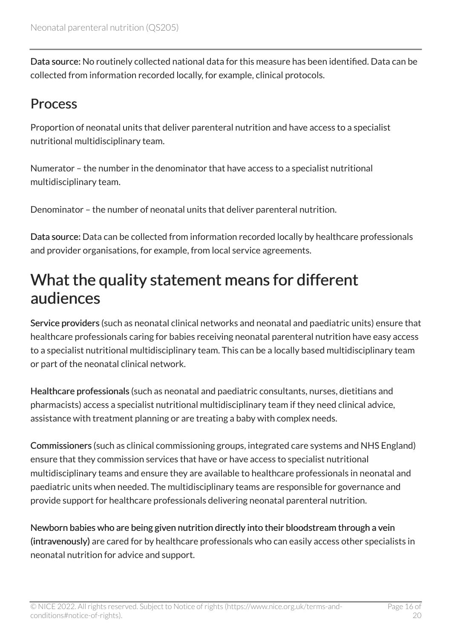Data source: No routinely collected national data for this measure has been identified. Data can be collected from information recorded locally, for example, clinical protocols.

#### **Process**

Proportion of neonatal units that deliver parenteral nutrition and have access to a specialist nutritional multidisciplinary team.

Numerator – the number in the denominator that have access to a specialist nutritional multidisciplinary team.

Denominator – the number of neonatal units that deliver parenteral nutrition.

Data source: Data can be collected from information recorded locally by healthcare professionals and provider organisations, for example, from local service agreements.

#### <span id="page-15-0"></span>What the quality statement means for different audiences

Service providers (such as neonatal clinical networks and neonatal and paediatric units) ensure that healthcare professionals caring for babies receiving neonatal parenteral nutrition have easy access to a specialist nutritional multidisciplinary team. This can be a locally based multidisciplinary team or part of the neonatal clinical network.

Healthcare professionals (such as neonatal and paediatric consultants, nurses, dietitians and pharmacists) access a specialist nutritional multidisciplinary team if they need clinical advice, assistance with treatment planning or are treating a baby with complex needs.

Commissioners (such as clinical commissioning groups, integrated care systems and NHS England) ensure that they commission services that have or have access to specialist nutritional multidisciplinary teams and ensure they are available to healthcare professionals in neonatal and paediatric units when needed. The multidisciplinary teams are responsible for governance and provide support for healthcare professionals delivering neonatal parenteral nutrition.

Newborn babies who are being given nutrition directly into their bloodstream through a vein (intravenously) are cared for by healthcare professionals who can easily access other specialists in neonatal nutrition for advice and support.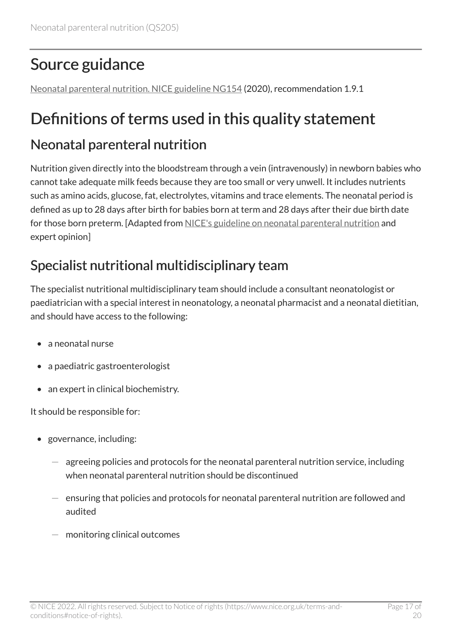## <span id="page-16-0"></span>Source guidance

[Neonatal parenteral nutrition. NICE guideline NG154](https://www.nice.org.uk/guidance/ng154) (2020), recommendation 1.9.1

## <span id="page-16-1"></span>Definitions of terms used in this quality statement

#### Neonatal parenteral nutrition

Nutrition given directly into the bloodstream through a vein (intravenously) in newborn babies who cannot take adequate milk feeds because they are too small or very unwell. It includes nutrients such as amino acids, glucose, fat, electrolytes, vitamins and trace elements. The neonatal period is defined as up to 28 days after birth for babies born at term and 28 days after their due birth date for those born preterm. [Adapted from [NICE's guideline on neonatal parenteral nutrition](https://www.nice.org.uk/guidance/ng154) and expert opinion]

#### Specialist nutritional multidisciplinary team

The specialist nutritional multidisciplinary team should include a consultant neonatologist or paediatrician with a special interest in neonatology, a neonatal pharmacist and a neonatal dietitian, and should have access to the following:

- a neonatal nurse
- a paediatric gastroenterologist
- an expert in clinical biochemistry.

It should be responsible for:

- governance, including:
	- agreeing policies and protocols for the neonatal parenteral nutrition service, including when neonatal parenteral nutrition should be discontinued
	- ensuring that policies and protocols for neonatal parenteral nutrition are followed and audited
	- $-$  monitoring clinical outcomes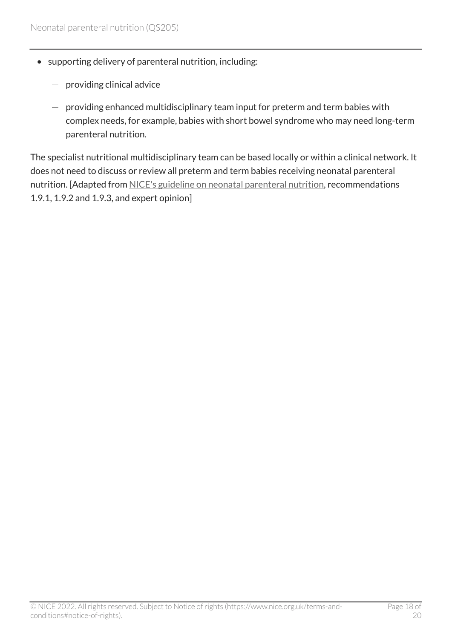- supporting delivery of parenteral nutrition, including:
	- providing clinical advice
	- $-$  providing enhanced multidisciplinary team input for preterm and term babies with complex needs, for example, babies with short bowel syndrome who may need long-term parenteral nutrition.

The specialist nutritional multidisciplinary team can be based locally or within a clinical network. It does not need to discuss or review all preterm and term babies receiving neonatal parenteral nutrition. [Adapted from [NICE's guideline on neonatal parenteral nutrition,](https://www.nice.org.uk/guidance/ng154) recommendations 1.9.1, 1.9.2 and 1.9.3, and expert opinion]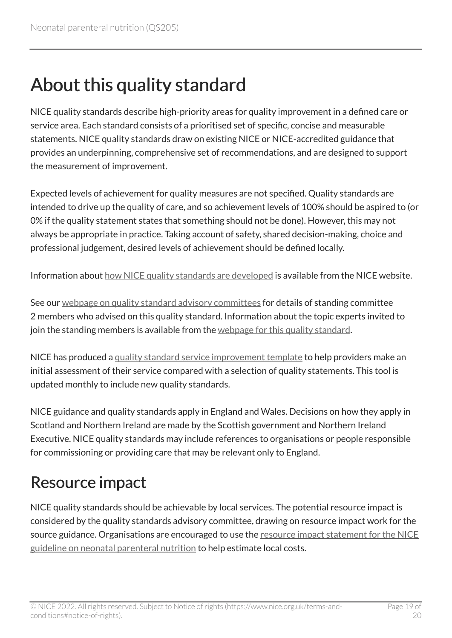# <span id="page-18-0"></span>About this quality standard

NICE quality standards describe high-priority areas for quality improvement in a defined care or service area. Each standard consists of a prioritised set of specific, concise and measurable statements. NICE quality standards draw on existing NICE or NICE-accredited guidance that provides an underpinning, comprehensive set of recommendations, and are designed to support the measurement of improvement.

Expected levels of achievement for quality measures are not specified. Quality standards are intended to drive up the quality of care, and so achievement levels of 100% should be aspired to (or 0% if the quality statement states that something should not be done). However, this may not always be appropriate in practice. Taking account of safety, shared decision-making, choice and professional judgement, desired levels of achievement should be defined locally.

Information about [how NICE quality standards are developed](https://www.nice.org.uk/standards-and-indicators/timeline-developing-quality-standards) is available from the NICE website.

See our [webpage on quality standard advisory committees](http://www.nice.org.uk/Get-Involved/Meetings-in-public/Quality-Standards-Advisory-Committee) for details of standing committee 2 members who advised on this quality standard. Information about the topic experts invited to join the standing members is available from the [webpage for this quality standard.](https://www.nice.org.uk/guidance/qs205/documents)

NICE has produced a [quality standard service improvement template](https://www.nice.org.uk/guidance/qs205/resources) to help providers make an initial assessment of their service compared with a selection of quality statements. This tool is updated monthly to include new quality standards.

NICE guidance and quality standards apply in England and Wales. Decisions on how they apply in Scotland and Northern Ireland are made by the Scottish government and Northern Ireland Executive. NICE quality standards may include references to organisations or people responsible for commissioning or providing care that may be relevant only to England.

#### <span id="page-18-1"></span>Resource impact

NICE quality standards should be achievable by local services. The potential resource impact is considered by the quality standards advisory committee, drawing on resource impact work for the source guidance. Organisations are encouraged to use the [resource impact statement for the NICE](https://www.nice.org.uk/guidance/ng154/resources) [guideline on neonatal parenteral nutrition](https://www.nice.org.uk/guidance/ng154/resources) to help estimate local costs.